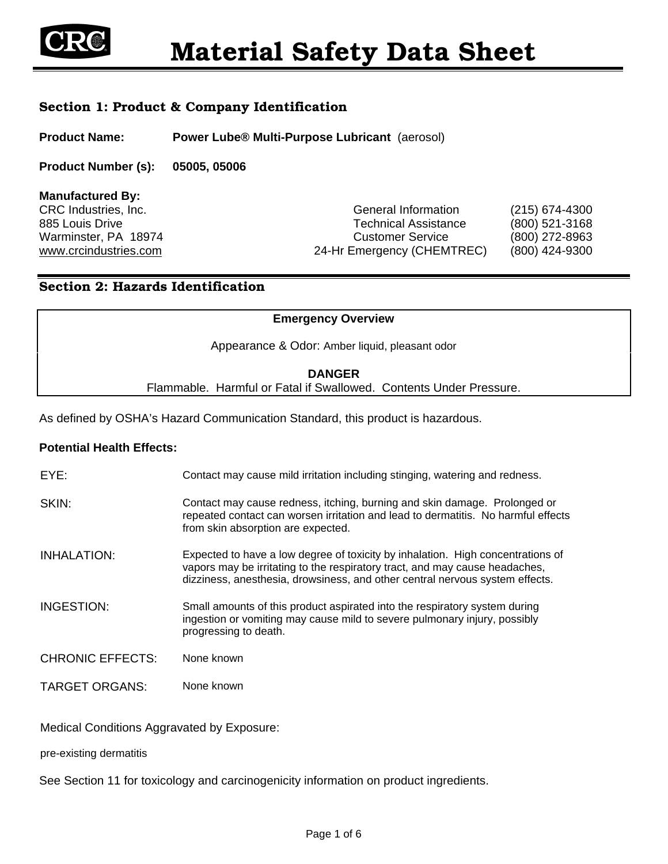

# Section 1: Product & Company Identification

**Product Name:** Power Lube<sup>®</sup> Multi-Purpose Lubricant (aerosol)

**Product Number (s): 05005, 05006**

**Manufactured By:** 

CRC Industries, Inc. CRC Industries, Inc. CRC Industries, Inc. 885 Louis Drive Technical Assistance (800) 521-3168 Warminster, PA 18974 Customer Service (800) 272-8963 www.crcindustries.com 24-Hr Emergency (CHEMTREC) (800) 424-9300

# Section 2: Hazards Identification

#### **Emergency Overview**

Appearance & Odor: Amber liquid, pleasant odor

#### **DANGER** Flammable. Harmful or Fatal if Swallowed. Contents Under Pressure.

As defined by OSHA's Hazard Communication Standard, this product is hazardous.

#### **Potential Health Effects:**

| EYE:                    | Contact may cause mild irritation including stinging, watering and redness.                                                                                                                                                                    |
|-------------------------|------------------------------------------------------------------------------------------------------------------------------------------------------------------------------------------------------------------------------------------------|
| SKIN:                   | Contact may cause redness, itching, burning and skin damage. Prolonged or<br>repeated contact can worsen irritation and lead to dermatitis. No harmful effects<br>from skin absorption are expected.                                           |
| INHALATION:             | Expected to have a low degree of toxicity by inhalation. High concentrations of<br>vapors may be irritating to the respiratory tract, and may cause headaches,<br>dizziness, anesthesia, drowsiness, and other central nervous system effects. |
| INGESTION:              | Small amounts of this product aspirated into the respiratory system during<br>ingestion or vomiting may cause mild to severe pulmonary injury, possibly<br>progressing to death.                                                               |
| <b>CHRONIC EFFECTS:</b> | None known                                                                                                                                                                                                                                     |
| <b>TARGET ORGANS:</b>   | None known                                                                                                                                                                                                                                     |

Medical Conditions Aggravated by Exposure:

pre-existing dermatitis

See Section 11 for toxicology and carcinogenicity information on product ingredients.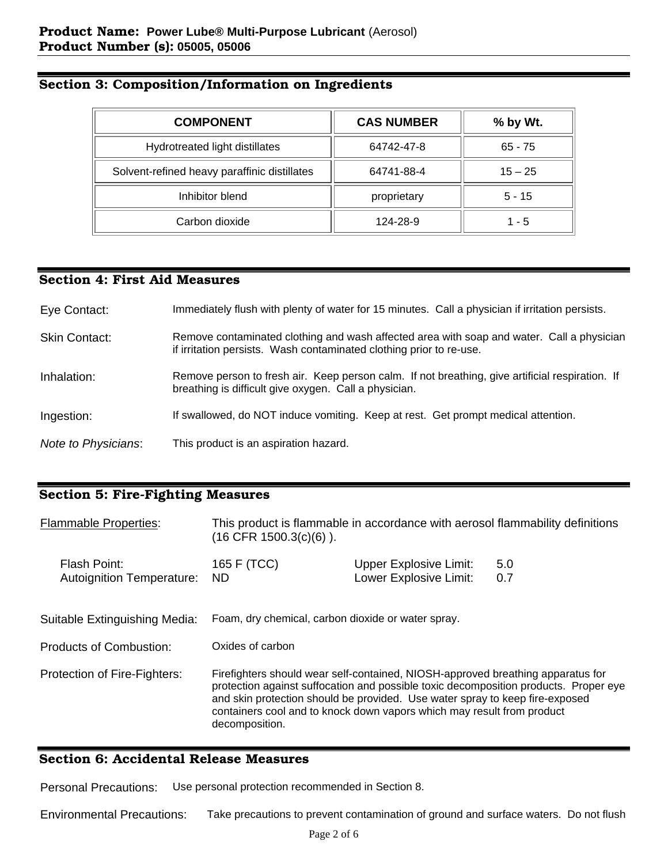# Section 3: Composition/Information on Ingredients

| <b>COMPONENT</b>                             | <b>CAS NUMBER</b> | % by Wt.  |
|----------------------------------------------|-------------------|-----------|
| Hydrotreated light distillates               | 64742-47-8        | $65 - 75$ |
| Solvent-refined heavy paraffinic distillates | 64741-88-4        | $15 - 25$ |
| Inhibitor blend                              | proprietary       | $5 - 15$  |
| Carbon dioxide                               | 124-28-9          | 1 - 5     |

## Section 4: First Aid Measures

| Eye Contact:         | Immediately flush with plenty of water for 15 minutes. Call a physician if irritation persists.                                                                  |
|----------------------|------------------------------------------------------------------------------------------------------------------------------------------------------------------|
| <b>Skin Contact:</b> | Remove contaminated clothing and wash affected area with soap and water. Call a physician<br>if irritation persists. Wash contaminated clothing prior to re-use. |
| Inhalation:          | Remove person to fresh air. Keep person calm. If not breathing, give artificial respiration. If<br>breathing is difficult give oxygen. Call a physician.         |
| Ingestion:           | If swallowed, do NOT induce vomiting. Keep at rest. Get prompt medical attention.                                                                                |
| Note to Physicians:  | This product is an aspiration hazard.                                                                                                                            |

# Section 5: Fire-Fighting Measures

| <b>Flammable Properties:</b>                     | This product is flammable in accordance with aerosol flammability definitions<br>$(16$ CFR $1500.3(c)(6)$ ).                                                                                                                                                                                                                                        |                                                         |            |  |  |
|--------------------------------------------------|-----------------------------------------------------------------------------------------------------------------------------------------------------------------------------------------------------------------------------------------------------------------------------------------------------------------------------------------------------|---------------------------------------------------------|------------|--|--|
| Flash Point:<br><b>Autoignition Temperature:</b> | 165 F (TCC)<br>ND.                                                                                                                                                                                                                                                                                                                                  | <b>Upper Explosive Limit:</b><br>Lower Explosive Limit: | 5.0<br>0.7 |  |  |
| Suitable Extinguishing Media:                    | Foam, dry chemical, carbon dioxide or water spray.                                                                                                                                                                                                                                                                                                  |                                                         |            |  |  |
| Products of Combustion:                          | Oxides of carbon                                                                                                                                                                                                                                                                                                                                    |                                                         |            |  |  |
| Protection of Fire-Fighters:                     | Firefighters should wear self-contained, NIOSH-approved breathing apparatus for<br>protection against suffocation and possible toxic decomposition products. Proper eye<br>and skin protection should be provided. Use water spray to keep fire-exposed<br>containers cool and to knock down vapors which may result from product<br>decomposition. |                                                         |            |  |  |

## Section 6: Accidental Release Measures

Personal Precautions: Use personal protection recommended in Section 8.

Environmental Precautions: Take precautions to prevent contamination of ground and surface waters. Do not flush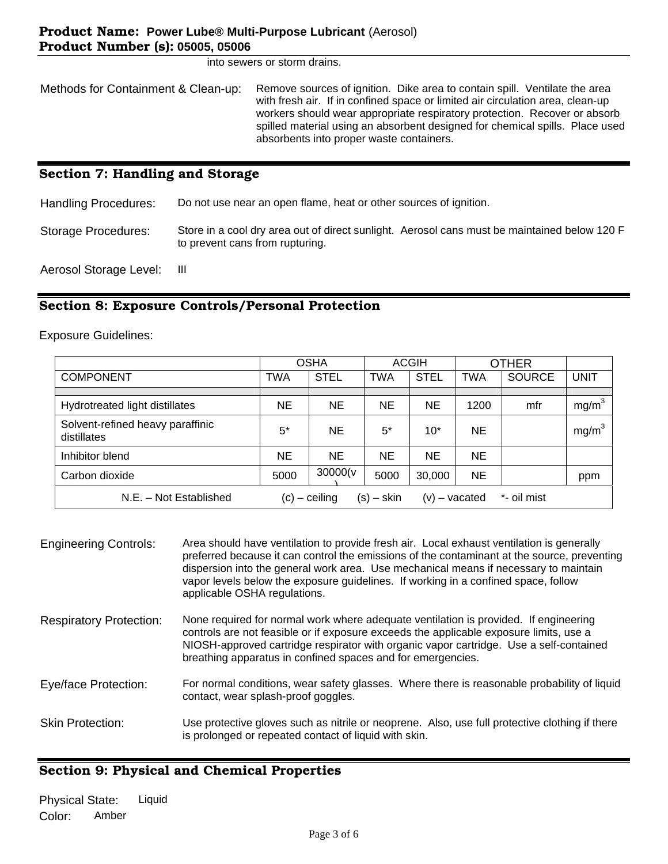into sewers or storm drains.

Methods for Containment & Clean-up: Remove sources of ignition. Dike area to contain spill. Ventilate the area with fresh air. If in confined space or limited air circulation area, clean-up workers should wear appropriate respiratory protection. Recover or absorb spilled material using an absorbent designed for chemical spills. Place used absorbents into proper waste containers.

#### Section 7: Handling and Storage

Handling Procedures: Do not use near an open flame, heat or other sources of ignition.

Storage Procedures: Store in a cool dry area out of direct sunlight. Aerosol cans must be maintained below 120 F to prevent cans from rupturing.

Aerosol Storage Level: III

#### Section 8: Exposure Controls/Personal Protection

Exposure Guidelines:

|                                                 |            | <b>OSHA</b>     |              | <b>ACGIH</b>    |            | <b>OTHER</b>  |                   |
|-------------------------------------------------|------------|-----------------|--------------|-----------------|------------|---------------|-------------------|
| <b>COMPONENT</b>                                | <b>TWA</b> | <b>STEL</b>     | TWA          | <b>STEL</b>     | <b>TWA</b> | <b>SOURCE</b> | <b>UNIT</b>       |
|                                                 |            |                 |              |                 |            |               |                   |
| Hydrotreated light distillates                  | NE         | <b>NE</b>       | NE           | <b>NE</b>       | 1200       | mfr           | mg/m <sup>3</sup> |
| Solvent-refined heavy paraffinic<br>distillates | $5*$       | <b>NE</b>       | $5^*$        | $10*$           | <b>NE</b>  |               | mg/m <sup>3</sup> |
| Inhibitor blend                                 | <b>NE</b>  | <b>NE</b>       | <b>NE</b>    | <b>NE</b>       | <b>NE</b>  |               |                   |
| Carbon dioxide                                  | 5000       | 30000(v)        | 5000         | 30,000          | <b>NE</b>  |               | ppm               |
| N.E. - Not Established                          |            | $(c)$ – ceiling | $(s) - skin$ | $(v)$ – vacated |            | *- oil mist   |                   |

| <b>Engineering Controls:</b>   | Area should have ventilation to provide fresh air. Local exhaust ventilation is generally<br>preferred because it can control the emissions of the contaminant at the source, preventing<br>dispersion into the general work area. Use mechanical means if necessary to maintain<br>vapor levels below the exposure guidelines. If working in a confined space, follow<br>applicable OSHA regulations. |
|--------------------------------|--------------------------------------------------------------------------------------------------------------------------------------------------------------------------------------------------------------------------------------------------------------------------------------------------------------------------------------------------------------------------------------------------------|
| <b>Respiratory Protection:</b> | None required for normal work where adequate ventilation is provided. If engineering<br>controls are not feasible or if exposure exceeds the applicable exposure limits, use a<br>NIOSH-approved cartridge respirator with organic vapor cartridge. Use a self-contained<br>breathing apparatus in confined spaces and for emergencies.                                                                |
| Eye/face Protection:           | For normal conditions, wear safety glasses. Where there is reasonable probability of liquid<br>contact, wear splash-proof goggles.                                                                                                                                                                                                                                                                     |
| <b>Skin Protection:</b>        | Use protective gloves such as nitrile or neoprene. Also, use full protective clothing if there<br>is prolonged or repeated contact of liquid with skin.                                                                                                                                                                                                                                                |

# Section 9: Physical and Chemical Properties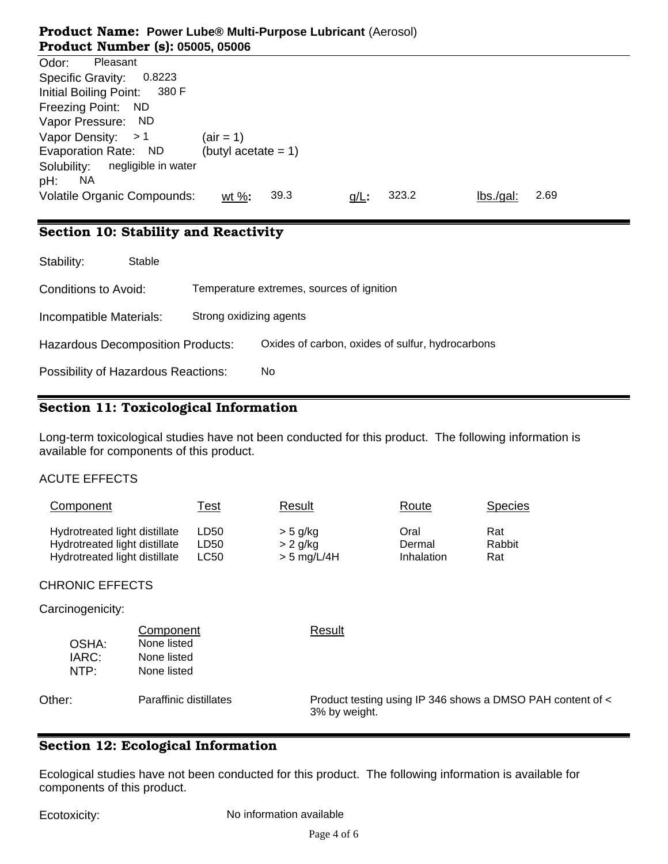# Product Name: **Power Lube® Multi-Purpose Lubricant** (Aerosol) Product Number (s): **05005, 05006**

| Pleasant<br>Odor:                  |                                 |      |         |       |          |      |
|------------------------------------|---------------------------------|------|---------|-------|----------|------|
| 0.8223<br>Specific Gravity:        |                                 |      |         |       |          |      |
| Initial Boiling Point: 380 F       |                                 |      |         |       |          |      |
| Freezing Point: ND                 |                                 |      |         |       |          |      |
| Vapor Pressure: ND                 |                                 |      |         |       |          |      |
| Vapor Density: $>1$                | $\left( \text{air} = 1 \right)$ |      |         |       |          |      |
| Evaporation Rate: ND               | (butyl acetate $= 1$ )          |      |         |       |          |      |
| negligible in water<br>Solubility: |                                 |      |         |       |          |      |
| NA<br>pH:                          |                                 |      |         |       |          |      |
| <b>Volatile Organic Compounds:</b> | wt $\%$ :                       | 39.3 | $g/L$ : | 323.2 | lbs/gal: | 2.69 |
|                                    |                                 |      |         |       |          |      |

# Section 10: Stability and Reactivity

| Stability:                                 | Stable |                         |                                                  |
|--------------------------------------------|--------|-------------------------|--------------------------------------------------|
| Conditions to Avoid:                       |        |                         | Temperature extremes, sources of ignition        |
| Incompatible Materials:                    |        | Strong oxidizing agents |                                                  |
| <b>Hazardous Decomposition Products:</b>   |        |                         | Oxides of carbon, oxides of sulfur, hydrocarbons |
| <b>Possibility of Hazardous Reactions:</b> |        |                         | No.                                              |

# Section 11: Toxicological Information

Long-term toxicological studies have not been conducted for this product. The following information is available for components of this product.

## ACUTE EFFECTS

| Component                                                                                       | Test                 | Result                                    | Route                        | <b>Species</b>       |
|-------------------------------------------------------------------------------------------------|----------------------|-------------------------------------------|------------------------------|----------------------|
| Hydrotreated light distillate<br>Hydrotreated light distillate<br>Hydrotreated light distillate | LD50<br>LD50<br>LC50 | $>$ 5 g/kg<br>$> 2$ g/kg<br>$> 5$ mg/L/4H | Oral<br>Dermal<br>Inhalation | Rat<br>Rabbit<br>Rat |
| <b>CHRONIC EFFECTS</b>                                                                          |                      |                                           |                              |                      |
| Carcinogenicity:                                                                                |                      |                                           |                              |                      |

| OSHA:<br>IARC:<br>NTP: | Component<br>None listed<br>None listed<br>None listed | Result                                                                      |
|------------------------|--------------------------------------------------------|-----------------------------------------------------------------------------|
| Other:                 | Paraffinic distillates                                 | Product testing using IP 346 shows a DMSO PAH content of <<br>3% by weight. |

# Section 12: Ecological Information

Ecological studies have not been conducted for this product. The following information is available for components of this product.

Ecotoxicity: No information available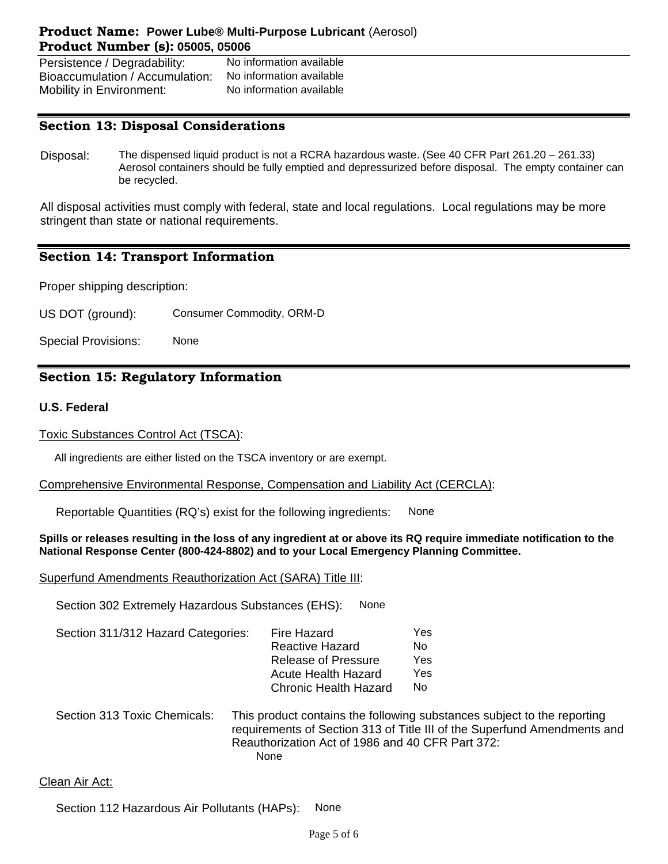## Product Name: **Power Lube® Multi-Purpose Lubricant** (Aerosol) Product Number (s): **05005, 05006**

Persistence / Degradability: No information available Bioaccumulation / Accumulation: No information available Mobility in Environment: No information available

# Section 13: Disposal Considerations

Disposal: The dispensed liquid product is not a RCRA hazardous waste. (See 40 CFR Part 261.20 – 261.33) Aerosol containers should be fully emptied and depressurized before disposal. The empty container can be recycled.

All disposal activities must comply with federal, state and local regulations. Local regulations may be more stringent than state or national requirements.

## Section 14: Transport Information

Proper shipping description:

US DOT (ground): Consumer Commodity, ORM-D

Special Provisions: None

# Section 15: Regulatory Information

#### **U.S. Federal**

Toxic Substances Control Act (TSCA):

All ingredients are either listed on the TSCA inventory or are exempt.

#### Comprehensive Environmental Response, Compensation and Liability Act (CERCLA):

Reportable Quantities (RQ's) exist for the following ingredients: None

**Spills or releases resulting in the loss of any ingredient at or above its RQ require immediate notification to the National Response Center (800-424-8802) and to your Local Emergency Planning Committee.** 

#### Superfund Amendments Reauthorization Act (SARA) Title III:

Section 302 Extremely Hazardous Substances (EHS): None

| Section 311/312 Hazard Categories: | Fire Hazard                  | Yes |
|------------------------------------|------------------------------|-----|
|                                    | <b>Reactive Hazard</b>       | No. |
|                                    | <b>Release of Pressure</b>   | Yes |
|                                    | Acute Health Hazard          | Yes |
|                                    | <b>Chronic Health Hazard</b> | No  |
|                                    |                              |     |

Section 313 Toxic Chemicals: This product contains the following substances subject to the reporting requirements of Section 313 of Title III of the Superfund Amendments and Reauthorization Act of 1986 and 40 CFR Part 372: None

#### Clean Air Act:

Section 112 Hazardous Air Pollutants (HAPs): None